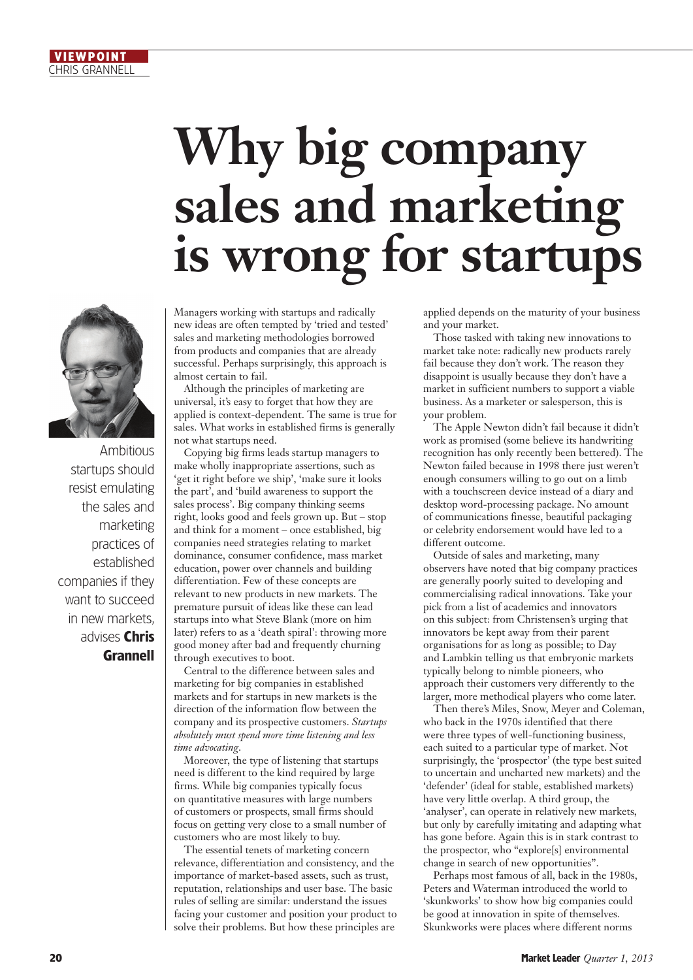## **Why big company sales and marketing is wrong for startups**



Ambitious startups should resist emulating the sales and marketing practices of established companies if they want to succeed in new markets, advises **Chris Grannell**

Managers working with startups and radically new ideas are often tempted by 'tried and tested' sales and marketing methodologies borrowed from products and companies that are already successful. Perhaps surprisingly, this approach is almost certain to fail.

Although the principles of marketing are universal, it's easy to forget that how they are applied is context-dependent. The same is true for sales. What works in established firms is generally not what startups need.

Copying big firms leads startup managers to make wholly inappropriate assertions, such as 'get it right before we ship', 'make sure it looks the part', and 'build awareness to support the sales process'. Big company thinking seems right, looks good and feels grown up. But – stop and think for a moment – once established, big companies need strategies relating to market dominance, consumer confidence, mass market education, power over channels and building differentiation. Few of these concepts are relevant to new products in new markets. The premature pursuit of ideas like these can lead startups into what Steve Blank (more on him later) refers to as a 'death spiral': throwing more good money after bad and frequently churning through executives to boot.

Central to the difference between sales and marketing for big companies in established markets and for startups in new markets is the direction of the information flow between the company and its prospective customers. *Startups absolutely must spend more time listening and less time advocating*.

Moreover, the type of listening that startups need is different to the kind required by large firms. While big companies typically focus on quantitative measures with large numbers of customers or prospects, small firms should focus on getting very close to a small number of customers who are most likely to buy.

The essential tenets of marketing concern relevance, differentiation and consistency, and the importance of market-based assets, such as trust, reputation, relationships and user base. The basic rules of selling are similar: understand the issues facing your customer and position your product to solve their problems. But how these principles are

applied depends on the maturity of your business and your market.

Those tasked with taking new innovations to market take note: radically new products rarely fail because they don't work. The reason they disappoint is usually because they don't have a market in sufficient numbers to support a viable business. As a marketer or salesperson, this is your problem.

The Apple Newton didn't fail because it didn't work as promised (some believe its handwriting recognition has only recently been bettered). The Newton failed because in 1998 there just weren't enough consumers willing to go out on a limb with a touchscreen device instead of a diary and desktop word-processing package. No amount of communications finesse, beautiful packaging or celebrity endorsement would have led to a different outcome.

Outside of sales and marketing, many observers have noted that big company practices are generally poorly suited to developing and commercialising radical innovations. Take your pick from a list of academics and innovators on this subject: from Christensen's urging that innovators be kept away from their parent organisations for as long as possible; to Day and Lambkin telling us that embryonic markets typically belong to nimble pioneers, who approach their customers very differently to the larger, more methodical players who come later.

Then there's Miles, Snow, Meyer and Coleman, who back in the 1970s identified that there were three types of well-functioning business, each suited to a particular type of market. Not surprisingly, the 'prospector' (the type best suited to uncertain and uncharted new markets) and the 'defender' (ideal for stable, established markets) have very little overlap. A third group, the 'analyser', can operate in relatively new markets, but only by carefully imitating and adapting what has gone before. Again this is in stark contrast to the prospector, who "explore[s] environmental change in search of new opportunities".

Perhaps most famous of all, back in the 1980s, Peters and Waterman introduced the world to 'skunkworks' to show how big companies could be good at innovation in spite of themselves. Skunkworks were places where different norms